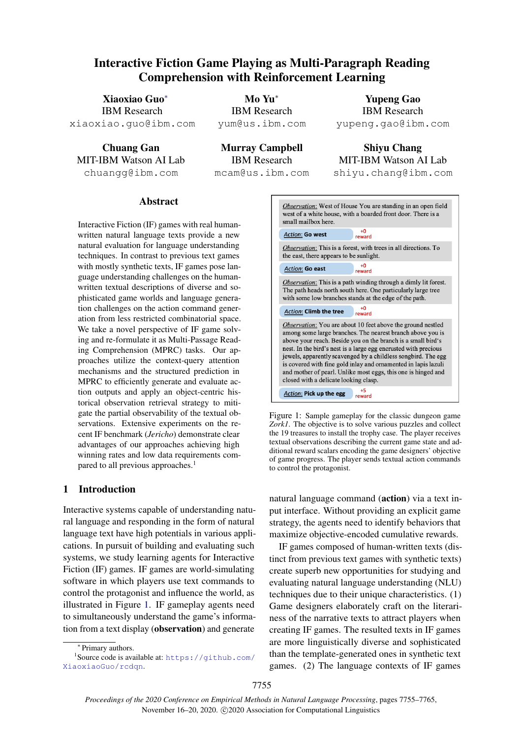# <span id="page-0-2"></span>Interactive Fiction Game Playing as Multi-Paragraph Reading Comprehension with Reinforcement Learning

Xiaoxiao Guo<sup>\*</sup> IBM Research xiaoxiao.guo@ibm.com

Chuang Gan MIT-IBM Watson AI Lab chuangg@ibm.com

Mo Yu<sup>\*</sup> IBM Research yum@us.ibm.com

Murray Campbell IBM Research mcam@us.ibm.com

Yupeng Gao IBM Research yupeng.gao@ibm.com

Shiyu Chang MIT-IBM Watson AI Lab shiyu.chang@ibm.com

## Abstract

<span id="page-0-4"></span>Interactive Fiction (IF) games with real humanwritten natural language texts provide a new natural evaluation for language understanding techniques. In contrast to previous text games with mostly synthetic texts, IF games pose language understanding challenges on the humanwritten textual descriptions of diverse and sophisticated game worlds and language generation challenges on the action command generation from less restricted combinatorial space. We take a novel perspective of IF game solving and re-formulate it as Multi-Passage Reading Comprehension (MPRC) tasks. Our approaches utilize the context-query attention mechanisms and the structured prediction in MPRC to efficiently generate and evaluate action outputs and apply an object-centric historical observation retrieval strategy to mitigate the partial observability of the textual observations. Extensive experiments on the recent IF benchmark (*Jericho*) demonstrate clear advantages of our approaches achieving high winning rates and low data requirements compared to all previous approaches.<sup>1</sup>

# 1 Introduction

Interactive systems capable of understanding natural language and responding in the form of natural language text have high potentials in various applications. In pursuit of building and evaluating such systems, we study learning agents for Interactive Fiction (IF) games. IF games are world-simulating software in which players use text commands to control the protagonist and influence the world, as illustrated in Figure [1.](#page-0-1) IF gameplay agents need to simultaneously understand the game's information from a text display (observation) and generate

<span id="page-0-1"></span>

Figure 1: Sample gameplay for the classic dungeon game *Zork1*. The objective is to solve various puzzles and collect the 19 treasures to install the trophy case. The player receives textual observations describing the current game state and additional reward scalars encoding the game designers' objective of game progress. The player sends textual action commands to control the protagonist.

natural language command (action) via a text input interface. Without providing an explicit game strategy, the agents need to identify behaviors that maximize objective-encoded cumulative rewards.

IF games composed of human-written texts (distinct from previous text games with synthetic texts) create superb new opportunities for studying and evaluating natural language understanding (NLU) techniques due to their unique characteristics. (1) Game designers elaborately craft on the literariness of the narrative texts to attract players when creating IF games. The resulted texts in IF games are more linguistically diverse and sophisticated than the template-generated ones in synthetic text games. (2) The language contexts of IF games

<span id="page-0-3"></span><span id="page-0-0"></span><sup>⇤</sup> Primary authors.

<sup>1</sup> Source code is available at: [https://github.com/](https://github.com/XiaoxiaoGuo/rcdqn) [XiaoxiaoGuo/rcdqn](https://github.com/XiaoxiaoGuo/rcdqn).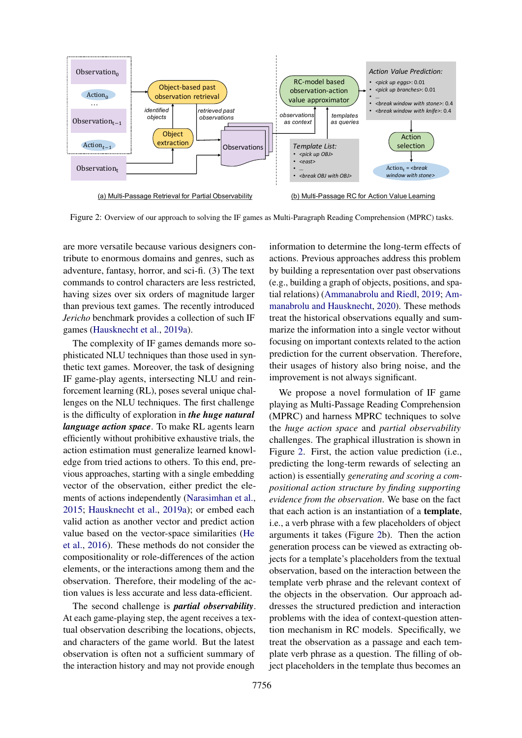<span id="page-1-0"></span>

Figure 2: Overview of our approach to solving the IF games as Multi-Paragraph Reading Comprehension (MPRC) tasks.

are more versatile because various designers contribute to enormous domains and genres, such as adventure, fantasy, horror, and sci-fi. (3) The text commands to control characters are less restricted, having sizes over six orders of magnitude larger than previous text games. The recently introduced *Jericho* benchmark provides a collection of such IF games [\(Hausknecht et al.,](#page-9-0) [2019a\)](#page-9-0).

The complexity of IF games demands more sophisticated NLU techniques than those used in synthetic text games. Moreover, the task of designing IF game-play agents, intersecting NLU and reinforcement learning (RL), poses several unique challenges on the NLU techniques. The first challenge is the difficulty of exploration in *the huge natural language action space*. To make RL agents learn efficiently without prohibitive exhaustive trials, the action estimation must generalize learned knowledge from tried actions to others. To this end, previous approaches, starting with a single embedding vector of the observation, either predict the elements of actions independently [\(Narasimhan et al.,](#page-10-0) [2015;](#page-10-0) [Hausknecht et al.,](#page-9-0) [2019a\)](#page-9-0); or embed each valid action as another vector and predict action value based on the vector-space similarities [\(He](#page-9-1) [et al.,](#page-9-1) [2016\)](#page-9-1). These methods do not consider the compositionality or role-differences of the action elements, or the interactions among them and the observation. Therefore, their modeling of the action values is less accurate and less data-efficient.

The second challenge is *partial observability*. At each game-playing step, the agent receives a textual observation describing the locations, objects, and characters of the game world. But the latest observation is often not a sufficient summary of the interaction history and may not provide enough

information to determine the long-term effects of actions. Previous approaches address this problem by building a representation over past observations (e.g., building a graph of objects, positions, and spatial relations) [\(Ammanabrolu and Riedl,](#page-9-2) [2019;](#page-9-2) [Am](#page-9-3)[manabrolu and Hausknecht,](#page-9-3) [2020\)](#page-9-3). These methods treat the historical observations equally and summarize the information into a single vector without focusing on important contexts related to the action prediction for the current observation. Therefore, their usages of history also bring noise, and the improvement is not always significant.

We propose a novel formulation of IF game playing as Multi-Passage Reading Comprehension (MPRC) and harness MPRC techniques to solve the *huge action space* and *partial observability* challenges. The graphical illustration is shown in Figure [2.](#page-1-0) First, the action value prediction (i.e., predicting the long-term rewards of selecting an action) is essentially *generating and scoring a compositional action structure by finding supporting evidence from the observation*. We base on the fact that each action is an instantiation of a template, i.e., a verb phrase with a few placeholders of object arguments it takes (Figure [2b](#page-1-0)). Then the action generation process can be viewed as extracting objects for a template's placeholders from the textual observation, based on the interaction between the template verb phrase and the relevant context of the objects in the observation. Our approach addresses the structured prediction and interaction problems with the idea of context-question attention mechanism in RC models. Specifically, we treat the observation as a passage and each template verb phrase as a question. The filling of object placeholders in the template thus becomes an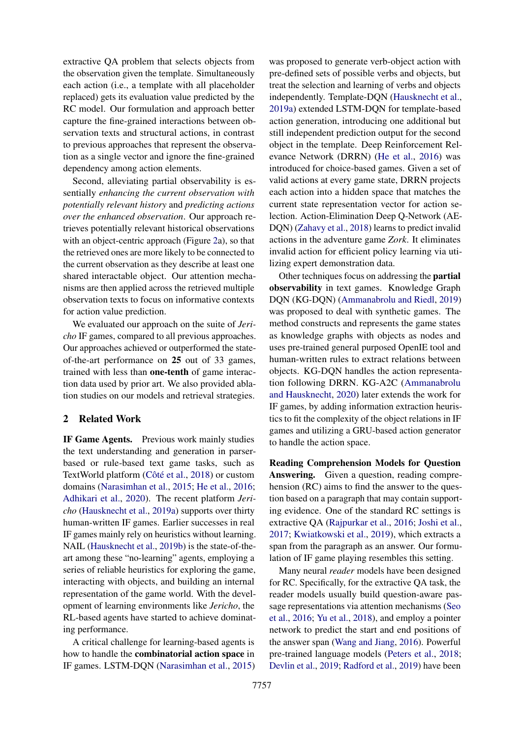extractive QA problem that selects objects from the observation given the template. Simultaneously each action (i.e., a template with all placeholder replaced) gets its evaluation value predicted by the RC model. Our formulation and approach better capture the fine-grained interactions between observation texts and structural actions, in contrast to previous approaches that represent the observation as a single vector and ignore the fine-grained dependency among action elements.

Second, alleviating partial observability is essentially *enhancing the current observation with potentially relevant history* and *predicting actions over the enhanced observation*. Our approach retrieves potentially relevant historical observations with an object-centric approach (Figure [2a](#page-1-0)), so that the retrieved ones are more likely to be connected to the current observation as they describe at least one shared interactable object. Our attention mechanisms are then applied across the retrieved multiple observation texts to focus on informative contexts for action value prediction.

We evaluated our approach on the suite of *Jericho* IF games, compared to all previous approaches. Our approaches achieved or outperformed the stateof-the-art performance on 25 out of 33 games, trained with less than one-tenth of game interaction data used by prior art. We also provided ablation studies on our models and retrieval strategies.

# 2 Related Work

IF Game Agents. Previous work mainly studies the text understanding and generation in parserbased or rule-based text game tasks, such as TextWorld platform (Côté et al., [2018\)](#page-9-4) or custom domains [\(Narasimhan et al.,](#page-10-0) [2015;](#page-10-0) [He et al.,](#page-9-1) [2016;](#page-9-1) [Adhikari et al.,](#page-9-5) [2020\)](#page-9-5). The recent platform *Jericho* [\(Hausknecht et al.,](#page-9-0) [2019a\)](#page-9-0) supports over thirty human-written IF games. Earlier successes in real IF games mainly rely on heuristics without learning. NAIL [\(Hausknecht et al.,](#page-9-6) [2019b\)](#page-9-6) is the state-of-theart among these "no-learning" agents, employing a series of reliable heuristics for exploring the game, interacting with objects, and building an internal representation of the game world. With the development of learning environments like *Jericho*, the RL-based agents have started to achieve dominating performance.

A critical challenge for learning-based agents is how to handle the combinatorial action space in IF games. LSTM-DQN [\(Narasimhan et al.,](#page-10-0) [2015\)](#page-10-0) was proposed to generate verb-object action with pre-defined sets of possible verbs and objects, but treat the selection and learning of verbs and objects independently. Template-DQN [\(Hausknecht et al.,](#page-9-0) [2019a\)](#page-9-0) extended LSTM-DQN for template-based action generation, introducing one additional but still independent prediction output for the second object in the template. Deep Reinforcement Relevance Network (DRRN) [\(He et al.,](#page-9-1) [2016\)](#page-9-1) was introduced for choice-based games. Given a set of valid actions at every game state, DRRN projects each action into a hidden space that matches the current state representation vector for action selection. Action-Elimination Deep Q-Network (AE-DQN) [\(Zahavy et al.,](#page-10-1) [2018\)](#page-10-1) learns to predict invalid actions in the adventure game *Zork*. It eliminates invalid action for efficient policy learning via utilizing expert demonstration data.

Other techniques focus on addressing the partial observability in text games. Knowledge Graph DQN (KG-DQN) [\(Ammanabrolu and Riedl,](#page-9-2) [2019\)](#page-9-2) was proposed to deal with synthetic games. The method constructs and represents the game states as knowledge graphs with objects as nodes and uses pre-trained general purposed OpenIE tool and human-written rules to extract relations between objects. KG-DQN handles the action representation following DRRN. KG-A2C [\(Ammanabrolu](#page-9-3) [and Hausknecht,](#page-9-3) [2020\)](#page-9-3) later extends the work for IF games, by adding information extraction heuristics to fit the complexity of the object relations in IF games and utilizing a GRU-based action generator to handle the action space.

Reading Comprehension Models for Question Answering. Given a question, reading comprehension (RC) aims to find the answer to the question based on a paragraph that may contain supporting evidence. One of the standard RC settings is extractive QA [\(Rajpurkar et al.,](#page-10-2) [2016;](#page-10-2) [Joshi et al.,](#page-9-7) [2017;](#page-9-7) [Kwiatkowski et al.,](#page-9-8) [2019\)](#page-9-8), which extracts a span from the paragraph as an answer. Our formulation of IF game playing resembles this setting.

Many neural *reader* models have been designed for RC. Specifically, for the extractive QA task, the reader models usually build question-aware passage representations via attention mechanisms [\(Seo](#page-10-3) [et al.,](#page-10-3) [2016;](#page-10-3) [Yu et al.,](#page-10-4) [2018\)](#page-10-4), and employ a pointer network to predict the start and end positions of the answer span [\(Wang and Jiang,](#page-10-5) [2016\)](#page-10-5). Powerful pre-trained language models [\(Peters et al.,](#page-10-6) [2018;](#page-10-6) [Devlin et al.,](#page-9-9) [2019;](#page-9-9) [Radford et al.,](#page-10-7) [2019\)](#page-10-7) have been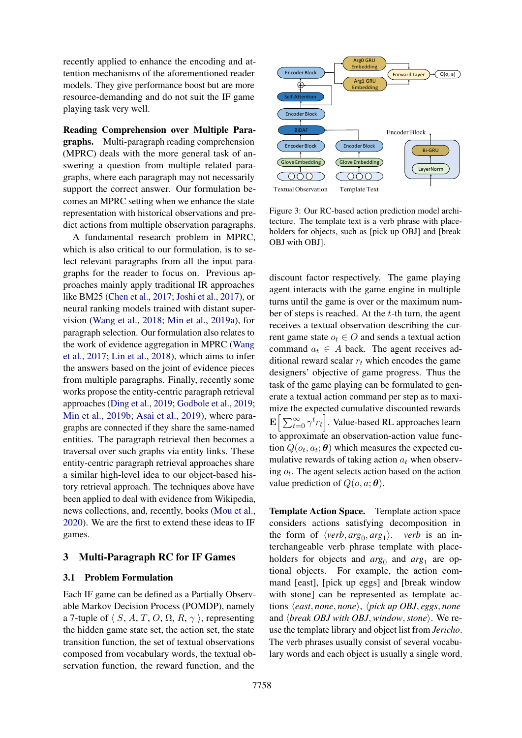recently applied to enhance the encoding and attention mechanisms of the aforementioned reader models. They give performance boost but are more resource-demanding and do not suit the IF game playing task very well.

Reading Comprehension over Multiple Paragraphs. Multi-paragraph reading comprehension (MPRC) deals with the more general task of answering a question from multiple related paragraphs, where each paragraph may not necessarily support the correct answer. Our formulation becomes an MPRC setting when we enhance the state representation with historical observations and predict actions from multiple observation paragraphs.

A fundamental research problem in MPRC, which is also critical to our formulation, is to select relevant paragraphs from all the input paragraphs for the reader to focus on. Previous approaches mainly apply traditional IR approaches like BM25 [\(Chen et al.,](#page-9-10) [2017;](#page-9-10) [Joshi et al.,](#page-9-7) [2017\)](#page-9-7), or neural ranking models trained with distant supervision [\(Wang et al.,](#page-10-8) [2018;](#page-10-8) [Min et al.,](#page-9-11) [2019a\)](#page-9-11), for paragraph selection. Our formulation also relates to the work of evidence aggregation in MPRC [\(Wang](#page-10-9) [et al.,](#page-10-9) [2017;](#page-10-9) [Lin et al.,](#page-9-12) [2018\)](#page-9-12), which aims to infer the answers based on the joint of evidence pieces from multiple paragraphs. Finally, recently some works propose the entity-centric paragraph retrieval approaches [\(Ding et al.,](#page-9-13) [2019;](#page-9-13) [Godbole et al.,](#page-9-14) [2019;](#page-9-14) [Min et al.,](#page-9-15) [2019b;](#page-9-15) [Asai et al.,](#page-9-16) [2019\)](#page-9-16), where paragraphs are connected if they share the same-named entities. The paragraph retrieval then becomes a traversal over such graphs via entity links. These entity-centric paragraph retrieval approaches share a similar high-level idea to our object-based history retrieval approach. The techniques above have been applied to deal with evidence from Wikipedia, news collections, and, recently, books [\(Mou et al.,](#page-10-10) [2020\)](#page-10-10). We are the first to extend these ideas to IF games.

## 3 Multi-Paragraph RC for IF Games

#### 3.1 Problem Formulation

Each IF game can be defined as a Partially Observable Markov Decision Process (POMDP), namely a 7-tuple of  $\langle S, A, T, O, \Omega, R, \gamma \rangle$ , representing the hidden game state set, the action set, the state transition function, the set of textual observations composed from vocabulary words, the textual observation function, the reward function, and the

<span id="page-3-0"></span>

Figure 3: Our RC-based action prediction model architecture. The template text is a verb phrase with placeholders for objects, such as [pick up OBJ] and [break OBJ with OBJ].

discount factor respectively. The game playing agent interacts with the game engine in multiple turns until the game is over or the maximum number of steps is reached. At the *t*-th turn, the agent receives a textual observation describing the current game state  $o_t \in O$  and sends a textual action command  $a_t \in A$  back. The agent receives additional reward scalar *r<sup>t</sup>* which encodes the game designers' objective of game progress. Thus the task of the game playing can be formulated to generate a textual action command per step as to maximize the expected cumulative discounted rewards  $\mathbf{E}\Big[\sum_{t=0}^{\infty} \gamma^t r_t\Big]$ . Value-based RL approaches learn to approximate an observation-action value function  $Q(o_t, a_t; \theta)$  which measures the expected cumulative rewards of taking action  $a_t$  when observing *ot*. The agent selects action based on the action value prediction of  $Q(o, a; \theta)$ .

Template Action Space. Template action space considers actions satisfying decomposition in the form of  $\langle verb, arg_0, arg_1 \rangle$ . *verb* is an interchangeable verb phrase template with placeholders for objects and  $arg_0$  and  $arg_1$  are optional objects. For example, the action command [east], [pick up eggs] and [break window with stone] can be represented as template actions h*east, none, none*i, h*pick up OBJ, eggs, none* and *\break OBJ with OBJ, window, stone*}. We reuse the template library and object list from *Jericho*. The verb phrases usually consist of several vocabulary words and each object is usually a single word.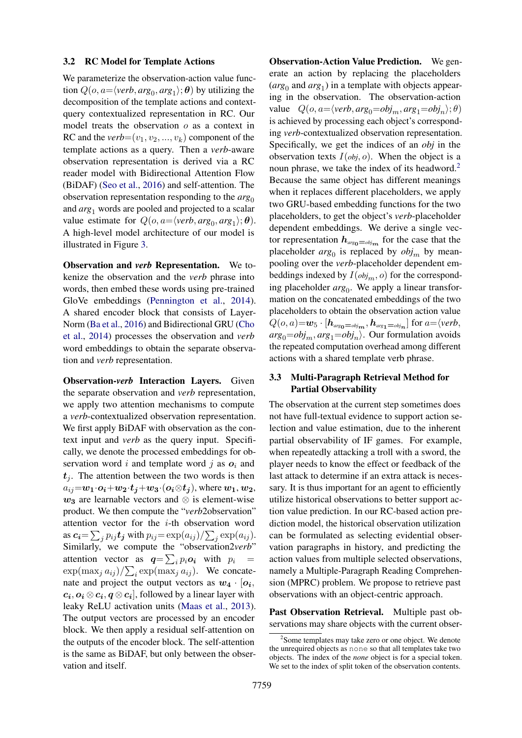#### 3.2 RC Model for Template Actions

We parameterize the observation-action value function  $Q(o, a=\langle verb, arg_0, arg_1 \rangle; \theta)$  by utilizing the decomposition of the template actions and contextquery contextualized representation in RC. Our model treats the observation *o* as a context in RC and the  $verb=(v_1, v_2, ..., v_k)$  component of the template actions as a query. Then a *verb*-aware observation representation is derived via a RC reader model with Bidirectional Attention Flow (BiDAF) [\(Seo et al.,](#page-10-3) [2016\)](#page-10-3) and self-attention. The observation representation responding to the  $arg_0$ and *arg*<sup>1</sup> words are pooled and projected to a scalar value estimate for  $Q(o, a = \langle verb, arg_0, arg_1 \rangle; \theta)$ . A high-level model architecture of our model is illustrated in Figure [3.](#page-3-0)

Observation and *verb* Representation. We tokenize the observation and the *verb* phrase into words, then embed these words using pre-trained GloVe embeddings [\(Pennington et al.,](#page-10-11) [2014\)](#page-10-11). A shared encoder block that consists of Layer-Norm [\(Ba et al.,](#page-9-17) [2016\)](#page-9-17) and Bidirectional GRU [\(Cho](#page-9-18) [et al.,](#page-9-18) [2014\)](#page-9-18) processes the observation and *verb* word embeddings to obtain the separate observation and *verb* representation.

Observation-*verb* Interaction Layers. Given the separate observation and *verb* representation, we apply two attention mechanisms to compute a *verb*-contextualized observation representation. We first apply BiDAF with observation as the context input and *verb* as the query input. Specifically, we denote the processed embeddings for observation word  $i$  and template word  $j$  as  $o_i$  and  $t_i$ . The attention between the two words is then  $a_{ij} = w_1 \cdot o_i + w_2 \cdot t_j + w_3 \cdot (o_i \otimes t_j)$ , where  $w_1, w_2$ ,  $w_3$  are learnable vectors and  $\otimes$  is element-wise product. We then compute the "*verb*2observation" attention vector for the *i*-th observation word as  $c_i = \sum_j p_{ij} t_j$  with  $p_{ij} = \exp(a_{ij}) / \sum_j \exp(a_{ij})$ . Similarly, we compute the "observation2*verb*" attention vector as  $q = \sum_{i} p_i o_i$  with  $p_i =$  $\exp(\max_j a_{ij})/\sum_i \exp(\max_j a_{ij})$ . We concatenate and project the output vectors as  $w_4 \cdot [o_i]$  $c_i$ ,  $o_i \otimes c_i$ ,  $q \otimes c_i$ , followed by a linear layer with leaky ReLU activation units [\(Maas et al.,](#page-9-19) [2013\)](#page-9-19). The output vectors are processed by an encoder block. We then apply a residual self-attention on the outputs of the encoder block. The self-attention is the same as BiDAF, but only between the observation and itself.

Observation-Action Value Prediction. We generate an action by replacing the placeholders  $(\text{arg}_{0}$  and  $\text{arg}_{1})$  in a template with objects appearing in the observation. The observation-action value  $Q(o, a = \langle verb, arg_0 = obj_m, arg_1 = obj_n); \theta)$ is achieved by processing each object's corresponding *verb*-contextualized observation representation. Specifically, we get the indices of an *obj* in the observation texts  $I(obj, o)$ . When the object is a noun phrase, we take the index of its headword.<sup>2</sup> Because the same object has different meanings when it replaces different placeholders, we apply two GRU-based embedding functions for the two placeholders, to get the object's *verb*-placeholder dependent embeddings. We derive a single vector representation  $h_{\text{arg}} = \phi_{\text{lim}}$  for the case that the placeholder  $arg_0$  is replaced by  $obj_m$  by meanpooling over the *verb*-placeholder dependent embeddings indexed by  $I(obj_m, o)$  for the corresponding placeholder  $arg_0$ . We apply a linear transformation on the concatenated embeddings of the two placeholders to obtain the observation action value  $Q(o, a) = w_5 \cdot [h_{\text{arg}}_{0} = \text{obj}_{m}, h_{\text{arg}}_{1} = \text{obj}_{n}]$  for  $a = \langle \text{verb}, \rangle$  $arg_0=obj_m, arg_1=obj_n$ . Our formulation avoids the repeated computation overhead among different actions with a shared template verb phrase.

## 3.3 Multi-Paragraph Retrieval Method for Partial Observability

The observation at the current step sometimes does not have full-textual evidence to support action selection and value estimation, due to the inherent partial observability of IF games. For example, when repeatedly attacking a troll with a sword, the player needs to know the effect or feedback of the last attack to determine if an extra attack is necessary. It is thus important for an agent to efficiently utilize historical observations to better support action value prediction. In our RC-based action prediction model, the historical observation utilization can be formulated as selecting evidential observation paragraphs in history, and predicting the action values from multiple selected observations, namely a Multiple-Paragraph Reading Comprehension (MPRC) problem. We propose to retrieve past observations with an object-centric approach.

Past Observation Retrieval. Multiple past observations may share objects with the current obser-

<span id="page-4-0"></span><sup>&</sup>lt;sup>2</sup>Some templates may take zero or one object. We denote the unrequired objects as none so that all templates take two objects. The index of the *none* object is for a special token. We set to the index of split token of the observation contents.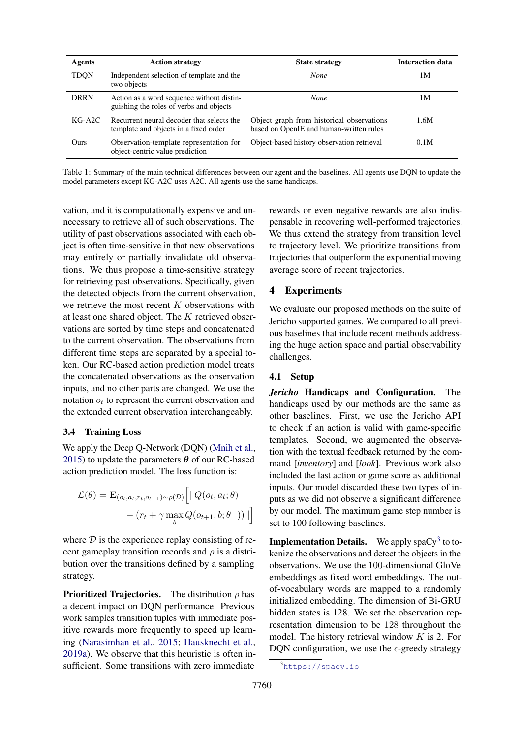<span id="page-5-1"></span>

| Agents      | <b>Action strategy</b>                                                               | <b>State strategy</b>                                                                | <b>Interaction data</b> |
|-------------|--------------------------------------------------------------------------------------|--------------------------------------------------------------------------------------|-------------------------|
| <b>TDON</b> | Independent selection of template and the<br>two objects                             | <b>None</b>                                                                          | 1 M                     |
| <b>DRRN</b> | Action as a word sequence without distin-<br>guishing the roles of verbs and objects | None                                                                                 | 1 M                     |
| $KG-A2C$    | Recurrent neural decoder that selects the<br>template and objects in a fixed order   | Object graph from historical observations<br>based on OpenIE and human-written rules | 1.6M                    |
| Ours        | Observation-template representation for<br>object-centric value prediction           | Object-based history observation retrieval                                           | 0.1M                    |

Table 1: Summary of the main technical differences between our agent and the baselines. All agents use DQN to update the model parameters except KG-A2C uses A2C. All agents use the same handicaps.

vation, and it is computationally expensive and unnecessary to retrieve all of such observations. The utility of past observations associated with each object is often time-sensitive in that new observations may entirely or partially invalidate old observations. We thus propose a time-sensitive strategy for retrieving past observations. Specifically, given the detected objects from the current observation, we retrieve the most recent *K* observations with at least one shared object. The *K* retrieved observations are sorted by time steps and concatenated to the current observation. The observations from different time steps are separated by a special token. Our RC-based action prediction model treats the concatenated observations as the observation inputs, and no other parts are changed. We use the notation  $o_t$  to represent the current observation and the extended current observation interchangeably.

## 3.4 Training Loss

We apply the Deep Q-Network (DQN) [\(Mnih et al.,](#page-10-12) [2015\)](#page-10-12) to update the parameters  $\theta$  of our RC-based action prediction model. The loss function is:

$$
\mathcal{L}(\theta) = \mathbf{E}_{(o_t, a_t, r_t, o_{t+1}) \sim \rho(\mathcal{D})} \Big[ ||Q(o_t, a_t; \theta) - (r_t + \gamma \max_b Q(o_{t+1}, b; \theta^{-}))|| \Big]
$$

where  $D$  is the experience replay consisting of recent gameplay transition records and  $\rho$  is a distribution over the transitions defined by a sampling strategy.

**Prioritized Trajectories.** The distribution  $\rho$  has a decent impact on DQN performance. Previous work samples transition tuples with immediate positive rewards more frequently to speed up learning [\(Narasimhan et al.,](#page-10-0) [2015;](#page-10-0) [Hausknecht et al.,](#page-9-0) [2019a\)](#page-9-0). We observe that this heuristic is often insufficient. Some transitions with zero immediate rewards or even negative rewards are also indispensable in recovering well-performed trajectories. We thus extend the strategy from transition level to trajectory level. We prioritize transitions from trajectories that outperform the exponential moving average score of recent trajectories.

# 4 Experiments

We evaluate our proposed methods on the suite of Jericho supported games. We compared to all previous baselines that include recent methods addressing the huge action space and partial observability challenges.

## 4.1 Setup

*Jericho* Handicaps and Configuration. The handicaps used by our methods are the same as other baselines. First, we use the Jericho API to check if an action is valid with game-specific templates. Second, we augmented the observation with the textual feedback returned by the command [*inventory*] and [*look*]. Previous work also included the last action or game score as additional inputs. Our model discarded these two types of inputs as we did not observe a significant difference by our model. The maximum game step number is set to 100 following baselines.

**Implementation Details.** We apply spaCy<sup>[3](#page-5-0)</sup> to tokenize the observations and detect the objects in the observations. We use the 100-dimensional GloVe embeddings as fixed word embeddings. The outof-vocabulary words are mapped to a randomly initialized embedding. The dimension of Bi-GRU hidden states is 128. We set the observation representation dimension to be 128 throughout the model. The history retrieval window *K* is 2. For DQN configuration, we use the  $\epsilon$ -greedy strategy

<span id="page-5-0"></span><sup>3</sup> <https://spacy.io>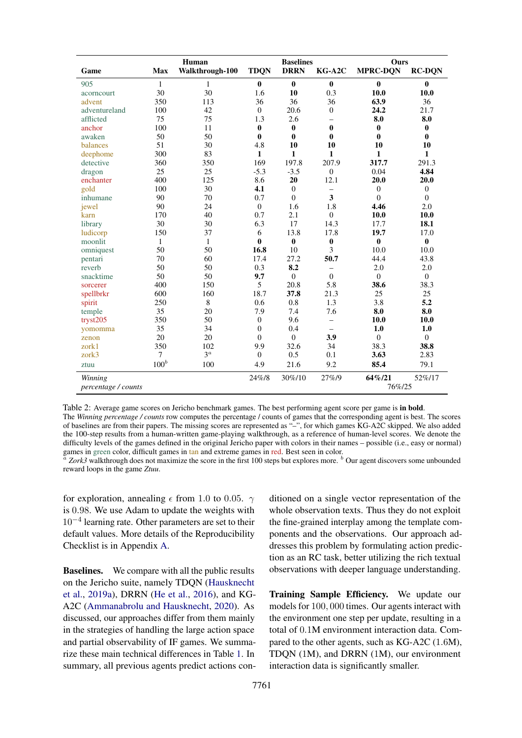<span id="page-6-0"></span>

|                     | <b>Baselines</b><br>Human |                 |                | Ours             |                          |                  |                  |
|---------------------|---------------------------|-----------------|----------------|------------------|--------------------------|------------------|------------------|
| Game                | Max                       | Walkthrough-100 | <b>TDQN</b>    | <b>DRRN</b>      | $KG-A2C$                 | <b>MPRC-DQN</b>  | <b>RC-DON</b>    |
| 905                 | $\mathbf{1}$              | $\mathbf{1}$    | $\bf{0}$       | $\bf{0}$         | $\bf{0}$                 | $\bf{0}$         | $\bf{0}$         |
| acorncourt          | 30                        | 30              | 1.6            | 10               | 0.3                      | 10.0             | 10.0             |
| advent              | 350                       | 113             | 36             | 36               | 36                       | 63.9             | 36               |
| adventureland       | 100                       | 42              | $\mathbf{0}$   | 20.6             | $\theta$                 | 24.2             | 21.7             |
| afflicted           | 75                        | 75              | 1.3            | 2.6              | $\overline{\phantom{0}}$ | 8.0              | 8.0              |
| anchor              | 100                       | 11              | $\bf{0}$       | $\boldsymbol{0}$ | $\bf{0}$                 | $\bf{0}$         | $\bf{0}$         |
| awaken              | 50                        | 50              | $\bf{0}$       | $\bf{0}$         | $\mathbf{0}$             | $\bf{0}$         | $\bf{0}$         |
| balances            | 51                        | 30              | 4.8            | 10               | 10                       | 10               | 10               |
| deephome            | 300                       | 83              | $\mathbf{1}$   | 1                | $\mathbf{1}$             | $\mathbf{1}$     | $\mathbf{1}$     |
| detective           | 360                       | 350             | 169            | 197.8            | 207.9                    | 317.7            | 291.3            |
| dragon              | 25                        | 25              | $-5.3$         | $-3.5$           | $\theta$                 | 0.04             | 4.84             |
| enchanter           | 400                       | 125             | 8.6            | 20               | 12.1                     | 20.0             | 20.0             |
| gold                | 100                       | 30              | 4.1            | $\boldsymbol{0}$ | $\overline{\phantom{0}}$ | $\boldsymbol{0}$ | $\mathbf{0}$     |
| inhumane            | 90                        | 70              | 0.7            | $\overline{0}$   | 3                        | $\theta$         | $\overline{0}$   |
| jewel               | 90                        | 24              | $\mathbf{0}$   | 1.6              | 1.8                      | 4.46             | 2.0              |
| karn                | 170                       | 40              | 0.7            | 2.1              | $\overline{0}$           | 10.0             | 10.0             |
| library             | 30                        | 30              | 6.3            | 17               | 14.3                     | 17.7             | 18.1             |
| ludicorp            | 150                       | 37              | 6              | 13.8             | 17.8                     | 19.7             | 17.0             |
| moonlit             | $\mathbf{1}$              | 1               | $\bf{0}$       | $\bf{0}$         | $\boldsymbol{0}$         | $\boldsymbol{0}$ | $\boldsymbol{0}$ |
| omniquest           | 50                        | 50              | 16.8           | 10               | 3                        | 10.0             | 10.0             |
| pentari             | 70                        | 60              | 17.4           | 27.2             | 50.7                     | 44.4             | 43.8             |
| reverb              | 50                        | 50              | 0.3            | 8.2              | -                        | 2.0              | 2.0              |
| snacktime           | 50                        | 50              | 9.7            | $\mathbf{0}$     | $\theta$                 | $\Omega$         | $\overline{0}$   |
| sorcerer            | 400                       | 150             | 5              | 20.8             | 5.8                      | 38.6             | 38.3             |
| spellbrkr           | 600                       | 160             | 18.7           | 37.8             | 21.3                     | 25               | 25               |
| spirit              | 250                       | 8               | 0.6            | 0.8              | 1.3                      | 3.8              | 5.2              |
| temple              | 35                        | 20              | 7.9            | 7.4              | 7.6                      | 8.0              | 8.0              |
| tryst205            | 350                       | 50              | $\mathbf{0}$   | 9.6              | $\overline{\phantom{0}}$ | 10.0             | 10.0             |
| yomomma             | 35                        | 34              | $\overline{0}$ | 0.4              | $\overline{\phantom{m}}$ | 1.0              | 1.0              |
| zenon               | 20                        | 20              | $\overline{0}$ | $\mathbf{0}$     | 3.9                      | $\theta$         | $\overline{0}$   |
| zork1               | 350                       | 102             | 9.9            | 32.6             | 34                       | 38.3             | 38.8             |
| zork3               | $\tau$                    | $3^{\alpha}$    | $\mathbf{0}$   | 0.5              | 0.1                      | 3.63             | 2.83             |
| ztuu                | $100^b$                   | 100             | 4.9            | 21.6             | 9.2                      | 85.4             | 79.1             |
| Winning             |                           |                 | 24%/8          | 30%/10           | 27%/9                    | 64%/21           | 52%/17           |
| percentage / counts |                           |                 |                |                  |                          | 76%/25           |                  |

Table 2: Average game scores on Jericho benchmark games. The best performing agent score per game is in bold. The *Winning percentage / counts* row computes the percentage / counts of games that the corresponding agent is best. The scores of baselines are from their papers. The missing scores are represented as "–", for which games KG-A2C skipped. We also added the 100-step results from a human-written game-playing walkthrough, as a reference of human-level scores. We denote the

difficulty levels of the games defined in the original Jericho paper with colors in their names – possible (i.e., easy or normal) games in green color, difficult games in tan and extreme games in red. Best seen in color.<br>  $\alpha$  Zork3 walkthrough does not maximize the score in the first 100 steps but explores more. 
<sup>b</sup> Our agent discovers some unboun

reward loops in the game *Ztuu*.

for exploration, annealing  $\epsilon$  from 1.0 to 0.05.  $\gamma$ is 0*.*98. We use Adam to update the weights with  $10^{-4}$  learning rate. Other parameters are set to their default values. More details of the Reproducibility Checklist is in Appendix [A.](#page-0-2)

Baselines. We compare with all the public results on the Jericho suite, namely TDQN [\(Hausknecht](#page-9-0) [et al.,](#page-9-0) [2019a\)](#page-9-0), DRRN [\(He et al.,](#page-9-1) [2016\)](#page-9-1), and KG-A2C [\(Ammanabrolu and Hausknecht,](#page-9-3) [2020\)](#page-9-3). As discussed, our approaches differ from them mainly in the strategies of handling the large action space and partial observability of IF games. We summarize these main technical differences in Table [1.](#page-5-1) In summary, all previous agents predict actions con-

ditioned on a single vector representation of the whole observation texts. Thus they do not exploit the fine-grained interplay among the template components and the observations. Our approach addresses this problem by formulating action prediction as an RC task, better utilizing the rich textual observations with deeper language understanding.

Training Sample Efficiency. We update our models for 100*,* 000 times. Our agents interact with the environment one step per update, resulting in a total of 0*.*1M environment interaction data. Compared to the other agents, such as KG-A2C (1*.*6M), TDQN (1M), and DRRN (1M), our environment interaction data is significantly smaller.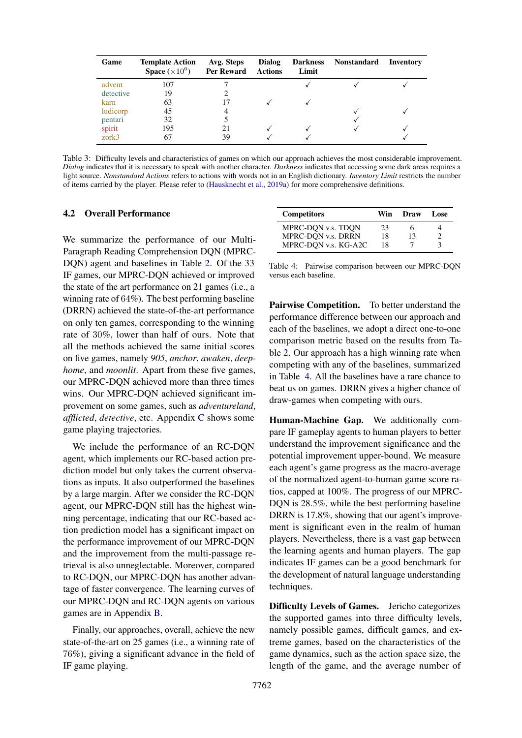<span id="page-7-1"></span>

| Game      | <b>Template Action</b><br><b>Space</b> $(\times 10^6)$ | Avg. Steps<br>Per Reward | <b>Dialog</b><br><b>Actions</b> | <b>Darkness</b><br>Limit | <b>Nonstandard</b> | Inventory |
|-----------|--------------------------------------------------------|--------------------------|---------------------------------|--------------------------|--------------------|-----------|
| advent    | 107                                                    |                          |                                 |                          |                    |           |
| detective | 19                                                     |                          |                                 |                          |                    |           |
| karn      | 63                                                     |                          |                                 |                          |                    |           |
| ludicorp  | 45                                                     |                          |                                 |                          |                    |           |
| pentari   | 32                                                     |                          |                                 |                          |                    |           |
| spirit    | 195                                                    | 21                       |                                 |                          |                    |           |
| zork3     | 67                                                     | 39                       |                                 |                          |                    |           |

Table 3: Difficulty levels and characteristics of games on which our approach achieves the most considerable improvement. *Dialog* indicates that it is necessary to speak with another character. *Darkness* indicates that accessing some dark areas requires a light source. *Nonstandard Actions* refers to actions with words not in an English dictionary. *Inventory Limit* restricts the number of items carried by the player. Please refer to [\(Hausknecht et al.,](#page-9-0) [2019a\)](#page-9-0) for more comprehensive definitions.

#### 4.2 Overall Performance

We summarize the performance of our Multi-Paragraph Reading Comprehension DQN (MPRC-DQN) agent and baselines in Table [2.](#page-6-0) Of the 33 IF games, our MPRC-DQN achieved or improved the state of the art performance on 21 games (i.e., a winning rate of 64%). The best performing baseline (DRRN) achieved the state-of-the-art performance on only ten games, corresponding to the winning rate of 30%, lower than half of ours. Note that all the methods achieved the same initial scores on five games, namely *905*, *anchor*, *awaken*, *deephome*, and *moonlit*. Apart from these five games, our MPRC-DQN achieved more than three times wins. Our MPRC-DQN achieved significant improvement on some games, such as *adventureland*, *afflicted*, *detective*, etc. Appendix [C](#page-0-3) shows some game playing trajectories.

We include the performance of an RC-DQN agent, which implements our RC-based action prediction model but only takes the current observations as inputs. It also outperformed the baselines by a large margin. After we consider the RC-DQN agent, our MPRC-DQN still has the highest winning percentage, indicating that our RC-based action prediction model has a significant impact on the performance improvement of our MPRC-DQN and the improvement from the multi-passage retrieval is also unneglectable. Moreover, compared to RC-DQN, our MPRC-DQN has another advantage of faster convergence. The learning curves of our MPRC-DQN and RC-DQN agents on various games are in Appendix [B.](#page-0-4)

Finally, our approaches, overall, achieve the new state-of-the-art on 25 games (i.e., a winning rate of 76%), giving a significant advance in the field of IF game playing.

<span id="page-7-0"></span>

| <b>Competitors</b>   | Win | Draw | Lose. |
|----------------------|-----|------|-------|
| MPRC-DON v.s. TDON   | 23  | 6    |       |
| MPRC-DON v.s. DRRN   | 18  | 13   |       |
| MPRC-DQN v.s. KG-A2C | 18  |      |       |

Table 4: Pairwise comparison between our MPRC-DQN versus each baseline.

Pairwise Competition. To better understand the performance difference between our approach and each of the baselines, we adopt a direct one-to-one comparison metric based on the results from Table [2.](#page-6-0) Our approach has a high winning rate when competing with any of the baselines, summarized in Table [4.](#page-7-0) All the baselines have a rare chance to beat us on games. DRRN gives a higher chance of draw-games when competing with ours.

Human-Machine Gap. We additionally compare IF gameplay agents to human players to better understand the improvement significance and the potential improvement upper-bound. We measure each agent's game progress as the macro-average of the normalized agent-to-human game score ratios, capped at 100%. The progress of our MPRC-DQN is 28.5%, while the best performing baseline DRRN is 17.8%, showing that our agent's improvement is significant even in the realm of human players. Nevertheless, there is a vast gap between the learning agents and human players. The gap indicates IF games can be a good benchmark for the development of natural language understanding techniques.

Difficulty Levels of Games. Jericho categorizes the supported games into three difficulty levels, namely possible games, difficult games, and extreme games, based on the characteristics of the game dynamics, such as the action space size, the length of the game, and the average number of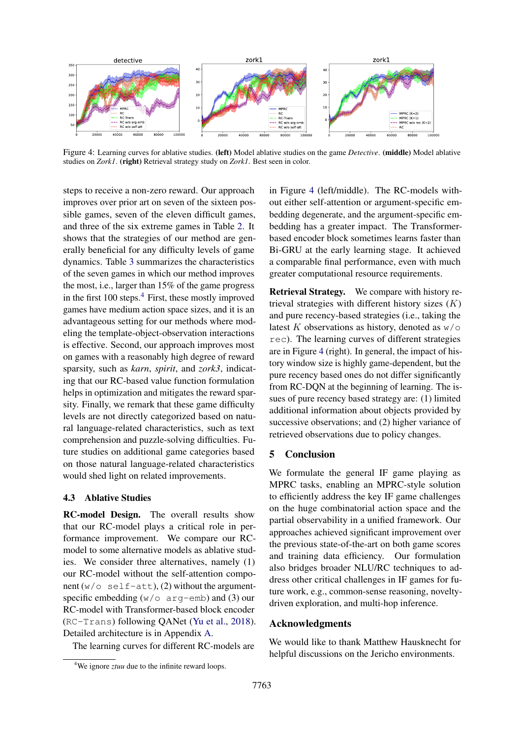<span id="page-8-1"></span>

Figure 4: Learning curves for ablative studies. (left) Model ablative studies on the game *Detective*. (middle) Model ablative studies on *Zork1*. (right) Retrieval strategy study on *Zork1*. Best seen in color.

steps to receive a non-zero reward. Our approach improves over prior art on seven of the sixteen possible games, seven of the eleven difficult games, and three of the six extreme games in Table [2.](#page-6-0) It shows that the strategies of our method are generally beneficial for any difficulty levels of game dynamics. Table [3](#page-7-1) summarizes the characteristics of the seven games in which our method improves the most, i.e., larger than 15% of the game progress in the first  $100$  steps.<sup>[4](#page-8-0)</sup> First, these mostly improved games have medium action space sizes, and it is an advantageous setting for our methods where modeling the template-object-observation interactions is effective. Second, our approach improves most on games with a reasonably high degree of reward sparsity, such as *karn*, *spirit*, and *zork3*, indicating that our RC-based value function formulation helps in optimization and mitigates the reward sparsity. Finally, we remark that these game difficulty levels are not directly categorized based on natural language-related characteristics, such as text comprehension and puzzle-solving difficulties. Future studies on additional game categories based on those natural language-related characteristics would shed light on related improvements.

## 4.3 Ablative Studies

RC-model Design. The overall results show that our RC-model plays a critical role in performance improvement. We compare our RCmodel to some alternative models as ablative studies. We consider three alternatives, namely (1) our RC-model without the self-attention component  $(w/\circ \text{self-att})$ , (2) without the argumentspecific embedding  $(w/\circ a \text{rq-emb})$  and (3) our RC-model with Transformer-based block encoder (RC-Trans) following QANet [\(Yu et al.,](#page-10-4) [2018\)](#page-10-4). Detailed architecture is in Appendix [A.](#page-0-2)

The learning curves for different RC-models are

in Figure [4](#page-8-1) (left/middle). The RC-models without either self-attention or argument-specific embedding degenerate, and the argument-specific embedding has a greater impact. The Transformerbased encoder block sometimes learns faster than Bi-GRU at the early learning stage. It achieved a comparable final performance, even with much greater computational resource requirements.

Retrieval Strategy. We compare with history retrieval strategies with different history sizes (*K*) and pure recency-based strategies (i.e., taking the latest  $K$  observations as history, denoted as  $w/\circ$ rec). The learning curves of different strategies are in Figure [4](#page-8-1) (right). In general, the impact of history window size is highly game-dependent, but the pure recency based ones do not differ significantly from RC-DQN at the beginning of learning. The issues of pure recency based strategy are: (1) limited additional information about objects provided by successive observations; and (2) higher variance of retrieved observations due to policy changes.

## 5 Conclusion

We formulate the general IF game playing as MPRC tasks, enabling an MPRC-style solution to efficiently address the key IF game challenges on the huge combinatorial action space and the partial observability in a unified framework. Our approaches achieved significant improvement over the previous state-of-the-art on both game scores and training data efficiency. Our formulation also bridges broader NLU/RC techniques to address other critical challenges in IF games for future work, e.g., common-sense reasoning, noveltydriven exploration, and multi-hop inference.

#### Acknowledgments

We would like to thank Matthew Hausknecht for helpful discussions on the Jericho environments.

<span id="page-8-0"></span><sup>&</sup>lt;sup>4</sup>We ignore *ztuu* due to the infinite reward loops.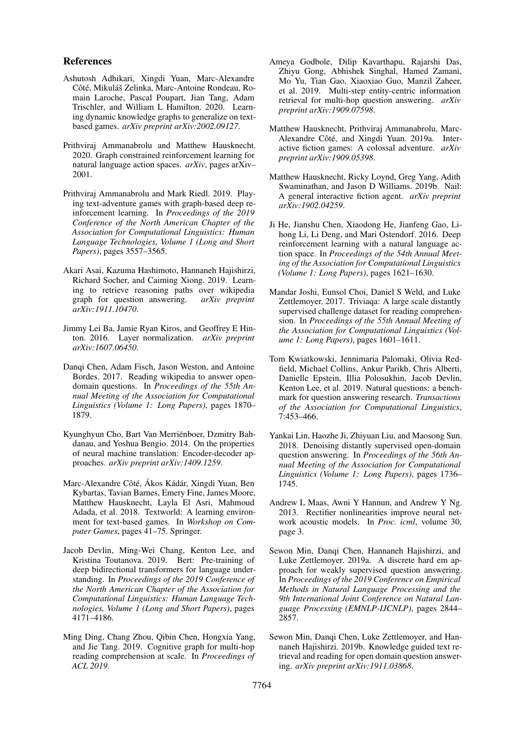#### References

- <span id="page-9-5"></span>Ashutosh Adhikari, Xingdi Yuan, Marc-Alexandre Côté, Mikuláš Zelinka, Marc-Antoine Rondeau, Romain Laroche, Pascal Poupart, Jian Tang, Adam Trischler, and William L Hamilton. 2020. Learning dynamic knowledge graphs to generalize on textbased games. *arXiv preprint arXiv:2002.09127*.
- <span id="page-9-3"></span>Prithviraj Ammanabrolu and Matthew Hausknecht. 2020. Graph constrained reinforcement learning for natural language action spaces. *arXiv*, pages arXiv– 2001.
- <span id="page-9-2"></span>Prithviraj Ammanabrolu and Mark Riedl. 2019. Playing text-adventure games with graph-based deep reinforcement learning. In *Proceedings of the 2019 Conference of the North American Chapter of the Association for Computational Linguistics: Human Language Technologies, Volume 1 (Long and Short Papers)*, pages 3557–3565.
- <span id="page-9-16"></span>Akari Asai, Kazuma Hashimoto, Hannaneh Hajishirzi, Richard Socher, and Caiming Xiong. 2019. Learning to retrieve reasoning paths over wikipedia graph for question answering. *arXiv preprint arXiv:1911.10470*.
- <span id="page-9-17"></span>Jimmy Lei Ba, Jamie Ryan Kiros, and Geoffrey E Hinton. 2016. Layer normalization. *arXiv preprint arXiv:1607.06450*.
- <span id="page-9-10"></span>Danqi Chen, Adam Fisch, Jason Weston, and Antoine Bordes. 2017. Reading wikipedia to answer opendomain questions. In *Proceedings of the 55th Annual Meeting of the Association for Computational Linguistics (Volume 1: Long Papers)*, pages 1870– 1879.
- <span id="page-9-18"></span>Kyunghyun Cho, Bart Van Merrienboer, Dzmitry Bah- ¨ danau, and Yoshua Bengio. 2014. On the properties of neural machine translation: Encoder-decoder approaches. *arXiv preprint arXiv:1409.1259*.
- <span id="page-9-4"></span>Marc-Alexandre Côté, Ákos Kádár, Xingdi Yuan, Ben Kybartas, Tavian Barnes, Emery Fine, James Moore, Matthew Hausknecht, Layla El Asri, Mahmoud Adada, et al. 2018. Textworld: A learning environment for text-based games. In *Workshop on Computer Games*, pages 41–75. Springer.
- <span id="page-9-9"></span>Jacob Devlin, Ming-Wei Chang, Kenton Lee, and Kristina Toutanova. 2019. Bert: Pre-training of deep bidirectional transformers for language understanding. In *Proceedings of the 2019 Conference of the North American Chapter of the Association for Computational Linguistics: Human Language Technologies, Volume 1 (Long and Short Papers)*, pages 4171–4186.
- <span id="page-9-13"></span>Ming Ding, Chang Zhou, Qibin Chen, Hongxia Yang, and Jie Tang. 2019. Cognitive graph for multi-hop reading comprehension at scale. In *Proceedings of ACL 2019*.
- <span id="page-9-14"></span>Ameya Godbole, Dilip Kavarthapu, Rajarshi Das, Zhiyu Gong, Abhishek Singhal, Hamed Zamani, Mo Yu, Tian Gao, Xiaoxiao Guo, Manzil Zaheer, et al. 2019. Multi-step entity-centric information retrieval for multi-hop question answering. *arXiv preprint arXiv:1909.07598*.
- <span id="page-9-0"></span>Matthew Hausknecht, Prithviraj Ammanabrolu, Marc-Alexandre Côté, and Xingdi Yuan. 2019a. Interactive fiction games: A colossal adventure. *arXiv preprint arXiv:1909.05398*.
- <span id="page-9-6"></span>Matthew Hausknecht, Ricky Loynd, Greg Yang, Adith Swaminathan, and Jason D Williams. 2019b. Nail: A general interactive fiction agent. *arXiv preprint arXiv:1902.04259*.
- <span id="page-9-1"></span>Ji He, Jianshu Chen, Xiaodong He, Jianfeng Gao, Lihong Li, Li Deng, and Mari Ostendorf. 2016. Deep reinforcement learning with a natural language action space. In *Proceedings of the 54th Annual Meeting of the Association for Computational Linguistics (Volume 1: Long Papers)*, pages 1621–1630.
- <span id="page-9-7"></span>Mandar Joshi, Eunsol Choi, Daniel S Weld, and Luke Zettlemoyer. 2017. Triviaqa: A large scale distantly supervised challenge dataset for reading comprehension. In *Proceedings of the 55th Annual Meeting of the Association for Computational Linguistics (Volume 1: Long Papers)*, pages 1601–1611.
- <span id="page-9-8"></span>Tom Kwiatkowski, Jennimaria Palomaki, Olivia Redfield, Michael Collins, Ankur Parikh, Chris Alberti, Danielle Epstein, Illia Polosukhin, Jacob Devlin, Kenton Lee, et al. 2019. Natural questions: a benchmark for question answering research. *Transactions of the Association for Computational Linguistics*, 7:453–466.
- <span id="page-9-12"></span>Yankai Lin, Haozhe Ji, Zhiyuan Liu, and Maosong Sun. 2018. Denoising distantly supervised open-domain question answering. In *Proceedings of the 56th Annual Meeting of the Association for Computational Linguistics (Volume 1: Long Papers)*, pages 1736– 1745.
- <span id="page-9-19"></span>Andrew L Maas, Awni Y Hannun, and Andrew Y Ng. 2013. Rectifier nonlinearities improve neural network acoustic models. In *Proc. icml*, volume 30, page 3.
- <span id="page-9-11"></span>Sewon Min, Danqi Chen, Hannaneh Hajishirzi, and Luke Zettlemoyer. 2019a. A discrete hard em approach for weakly supervised question answering. In *Proceedings of the 2019 Conference on Empirical Methods in Natural Language Processing and the 9th International Joint Conference on Natural Language Processing (EMNLP-IJCNLP)*, pages 2844– 2857.
- <span id="page-9-15"></span>Sewon Min, Danqi Chen, Luke Zettlemoyer, and Hannaneh Hajishirzi. 2019b. Knowledge guided text retrieval and reading for open domain question answering. *arXiv preprint arXiv:1911.03868*.